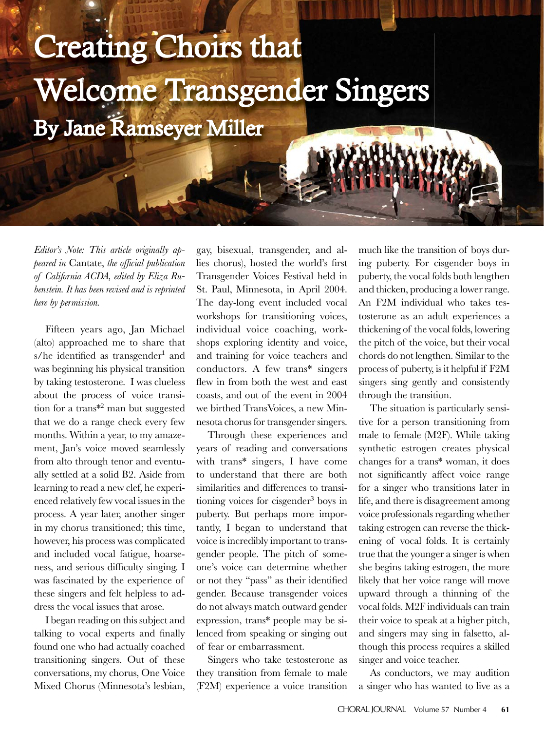## **Creating Choirs that** Welcome Transgender Singers By Jane Ramseyer Miller

*Editor's Note: This article originally appeared in* Cantate, *the offi cial publication of California ACDA, edited by Eliza Rubenstein. It has been revised and is reprinted here by permission.*

Fifteen years ago, Jan Michael (alto) approached me to share that s/he identified as transgender<sup>1</sup> and was beginning his physical transition by taking testosterone. I was clueless about the process of voice transition for a trans\*<sup>2</sup> man but suggested that we do a range check every few months. Within a year, to my amazement, Jan's voice moved seamlessly from alto through tenor and eventually settled at a solid B2. Aside from learning to read a new clef, he experienced relatively few vocal issues in the process. A year later, another singer in my chorus transitioned; this time, however, his process was complicated and included vocal fatigue, hoarseness, and serious difficulty singing. I was fascinated by the experience of these singers and felt helpless to address the vocal issues that arose.

I began reading on this subject and talking to vocal experts and finally found one who had actually coached transitioning singers. Out of these conversations, my chorus, One Voice Mixed Chorus (Minnesota's lesbian,

gay, bisexual, transgender, and allies chorus), hosted the world's first Transgender Voices Festival held in St. Paul, Minnesota, in April 2004. The day-long event included vocal workshops for transitioning voices, individual voice coaching, workshops exploring identity and voice, and training for voice teachers and conductors. A few trans\* singers flew in from both the west and east coasts, and out of the event in 2004 we birthed TransVoices, a new Minnesota chorus for transgender singers.

Through these experiences and years of reading and conversations with trans\* singers, I have come to understand that there are both similarities and differences to transitioning voices for cisgender<sup>3</sup> boys in puberty. But perhaps more importantly, I began to understand that voice is incredibly important to transgender people. The pitch of someone's voice can determine whether or not they "pass" as their identified gender. Because transgender voices do not always match outward gender expression, trans\* people may be silenced from speaking or singing out of fear or embarrassment.

Singers who take testosterone as they transition from female to male (F2M) experience a voice transition

much like the transition of boys during puberty. For cisgender boys in puberty, the vocal folds both lengthen and thicken, producing a lower range. An F2M individual who takes testosterone as an adult experiences a thickening of the vocal folds, lowering the pitch of the voice, but their vocal chords do not lengthen. Similar to the process of puberty, is it helpful if F2M singers sing gently and consistently through the transition.

The situation is particularly sensitive for a person transitioning from male to female (M2F). While taking synthetic estrogen creates physical changes for a trans\* woman, it does not significantly affect voice range for a singer who transitions later in life, and there is disagreement among voice professionals regarding whether taking estrogen can reverse the thickening of vocal folds. It is certainly true that the younger a singer is when she begins taking estrogen, the more likely that her voice range will move upward through a thinning of the vocal folds. M2F individuals can train their voice to speak at a higher pitch, and singers may sing in falsetto, although this process requires a skilled singer and voice teacher.

As conductors, we may audition a singer who has wanted to live as a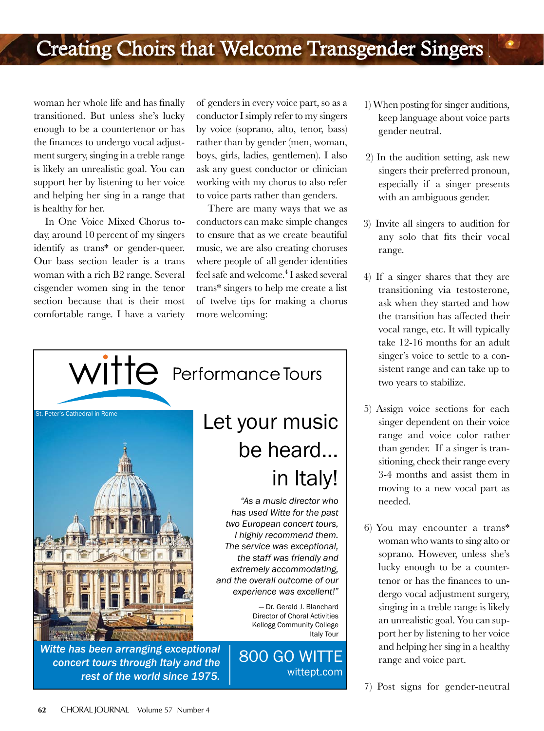woman her whole life and has finally transitioned. But unless she's lucky enough to be a countertenor or has the finances to undergo vocal adjustment surgery, singing in a treble range is likely an unrealistic goal. You can support her by listening to her voice and helping her sing in a range that is healthy for her.

In One Voice Mixed Chorus today, around 10 percent of my singers identify as trans\* or gender-queer. Our bass section leader is a trans woman with a rich B2 range. Several cisgender women sing in the tenor section because that is their most comfortable range. I have a variety

of genders in every voice part, so as a conductor I simply refer to my singers by voice (soprano, alto, tenor, bass) rather than by gender (men, woman, boys, girls, ladies, gentlemen). I also ask any guest conductor or clinician working with my chorus to also refer to voice parts rather than genders.

There are many ways that we as conductors can make simple changes to ensure that as we create beautiful music, we are also creating choruses where people of all gender identities feel safe and welcome.4 I asked several trans\* singers to help me create a list of twelve tips for making a chorus more welcoming:



*Witte has been arranging exceptional concert tours through Italy and the rest of the world since 1975.* 

## Let your music be heard… in Italy!

*"As a music director who has used Witte for the past two European concert tours, I highly recommend them. The service was exceptional, the staff was friendly and extremely accommodating, and the overall outcome of our experience was excellent!"*

> — Dr. Gerald J. Blanchard Director of Choral Activities Kellogg Community College Italy Tour

800 GO WITTE wittept.com  1) When posting for singer auditions, keep language about voice parts gender neutral.

 $\bullet$ 

- 2) In the audition setting, ask new singers their preferred pronoun, especially if a singer presents with an ambiguous gender.
- 3) Invite all singers to audition for any solo that fits their vocal range.
- 4) If a singer shares that they are transitioning via testosterone, ask when they started and how the transition has affected their vocal range, etc. It will typically take 12-16 months for an adult singer's voice to settle to a consistent range and can take up to two years to stabilize.
- 5) Assign voice sections for each singer dependent on their voice range and voice color rather than gender. If a singer is transitioning, check their range every 3-4 months and assist them in moving to a new vocal part as needed.
- 6) You may encounter a trans\* woman who wants to sing alto or soprano. However, unless she's lucky enough to be a countertenor or has the finances to undergo vocal adjustment surgery, singing in a treble range is likely an unrealistic goal. You can support her by listening to her voice and helping her sing in a healthy range and voice part.
- 7) Post signs for gender-neutral